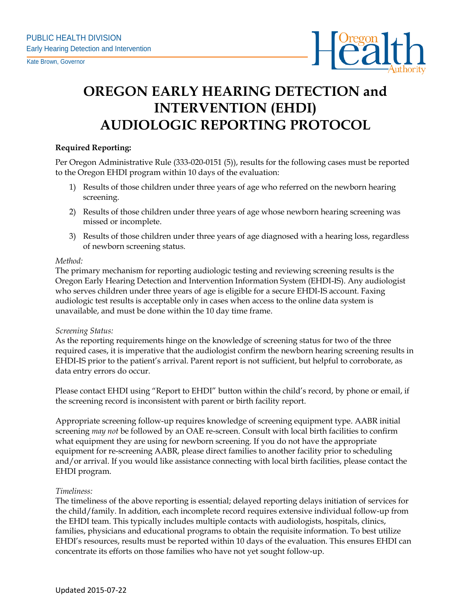

# **OREGON EARLY HEARING DETECTION and INTERVENTION (EHDI) AUDIOLOGIC REPORTING PROTOCOL**

# **Required Reporting:**

Per Oregon Administrative Rule (333-020-0151 (5)), results for the following cases must be reported to the Oregon EHDI program within 10 days of the evaluation:

- 1) Results of those children under three years of age who referred on the newborn hearing screening.
- 2) Results of those children under three years of age whose newborn hearing screening was missed or incomplete.
- 3) Results of those children under three years of age diagnosed with a hearing loss, regardless of newborn screening status.

## *Method:*

The primary mechanism for reporting audiologic testing and reviewing screening results is the Oregon Early Hearing Detection and Intervention Information System (EHDI-IS). Any audiologist who serves children under three years of age is eligible for a secure EHDI-IS account. Faxing audiologic test results is acceptable only in cases when access to the online data system is unavailable, and must be done within the 10 day time frame.

## *Screening Status:*

As the reporting requirements hinge on the knowledge of screening status for two of the three required cases, it is imperative that the audiologist confirm the newborn hearing screening results in EHDI-IS prior to the patient's arrival. Parent report is not sufficient, but helpful to corroborate, as data entry errors do occur.

Please contact EHDI using "Report to EHDI" button within the child's record, by phone or email, if the screening record is inconsistent with parent or birth facility report.

Appropriate screening follow-up requires knowledge of screening equipment type. AABR initial screening *may not* be followed by an OAE re-screen. Consult with local birth facilities to confirm what equipment they are using for newborn screening. If you do not have the appropriate equipment for re-screening AABR, please direct families to another facility prior to scheduling and/or arrival. If you would like assistance connecting with local birth facilities, please contact the EHDI program.

## *Timeliness:*

The timeliness of the above reporting is essential; delayed reporting delays initiation of services for the child/family. In addition, each incomplete record requires extensive individual follow-up from the EHDI team. This typically includes multiple contacts with audiologists, hospitals, clinics, families, physicians and educational programs to obtain the requisite information. To best utilize EHDI's resources, results must be reported within 10 days of the evaluation. This ensures EHDI can concentrate its efforts on those families who have not yet sought follow-up.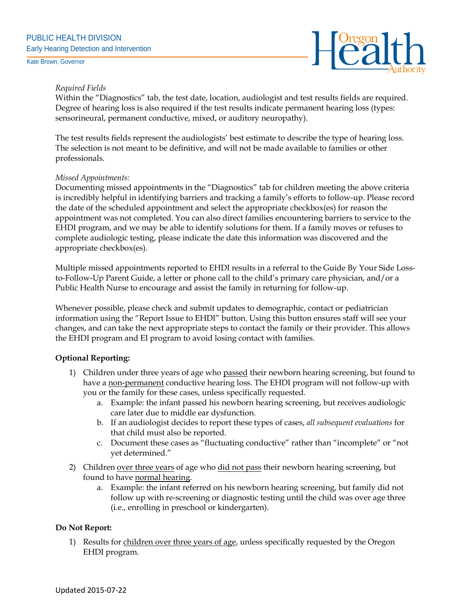

# *Required Fields*

Within the "Diagnostics" tab, the test date, location, audiologist and test results fields are required. Degree of hearing loss is also required if the test results indicate permanent hearing loss (types: sensorineural, permanent conductive, mixed, or auditory neuropathy).

The test results fields represent the audiologists' best estimate to describe the type of hearing loss. The selection is not meant to be definitive, and will not be made available to families or other professionals.

## *Missed Appointments:*

Documenting missed appointments in the "Diagnostics" tab for children meeting the above criteria is incredibly helpful in identifying barriers and tracking a family's efforts to follow-up. Please record the date of the scheduled appointment and select the appropriate checkbox(es) for reason the appointment was not completed. You can also direct families encountering barriers to service to the EHDI program, and we may be able to identify solutions for them. If a family moves or refuses to complete audiologic testing, please indicate the date this information was discovered and the appropriate checkbox(es).

Multiple missed appointments reported to EHDI results in a referral to the Guide By Your Side Lossto-Follow-Up Parent Guide, a letter or phone call to the child's primary care physician, and/or a Public Health Nurse to encourage and assist the family in returning for follow-up.

Whenever possible, please check and submit updates to demographic, contact or pediatrician information using the "Report Issue to EHDI" button. Using this button ensures staff will see your changes, and can take the next appropriate steps to contact the family or their provider. This allows the EHDI program and EI program to avoid losing contact with families.

# **Optional Reporting:**

- 1) Children under three years of age who passed their newborn hearing screening, but found to have a non-permanent conductive hearing loss. The EHDI program will not follow-up with you or the family for these cases, unless specifically requested.
	- a. Example: the infant passed his newborn hearing screening, but receives audiologic care later due to middle ear dysfunction.
	- b. If an audiologist decides to report these types of cases, *all subsequent evaluations* for that child must also be reported.
	- c. Document these cases as "fluctuating conductive" rather than "incomplete" or "not yet determined."
- 2) Children over three years of age who did not pass their newborn hearing screening, but found to have normal hearing.
	- a. Example: the infant referred on his newborn hearing screening, but family did not follow up with re-screening or diagnostic testing until the child was over age three (i.e., enrolling in preschool or kindergarten).

# **Do Not Report:**

1) Results for children over three years of age, unless specifically requested by the Oregon EHDI program.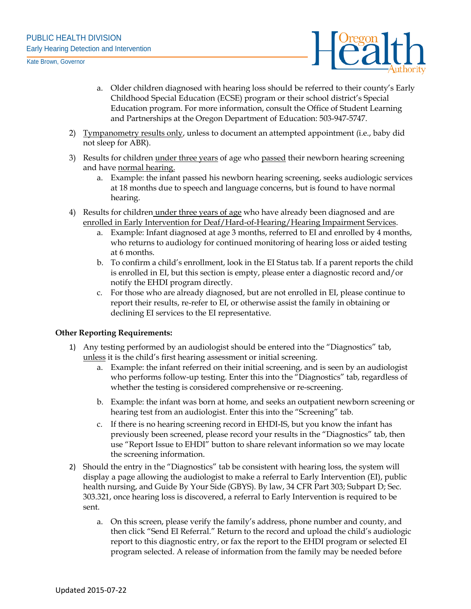

- a. Older children diagnosed with hearing loss should be referred to their county's Early Childhood Special Education (ECSE) program or their school district's Special Education program. For more information, consult the Office of Student Learning and Partnerships at the Oregon Department of Education: 503-947-5747.
- 2) Tympanometry results only, unless to document an attempted appointment (i.e., baby did not sleep for ABR).
- 3) Results for children under three years of age who passed their newborn hearing screening and have normal hearing.
	- a. Example: the infant passed his newborn hearing screening, seeks audiologic services at 18 months due to speech and language concerns, but is found to have normal hearing.
- 4) Results for children under three years of age who have already been diagnosed and are enrolled in Early Intervention for Deaf/Hard-of-Hearing/Hearing Impairment Services.
	- a. Example: Infant diagnosed at age 3 months, referred to EI and enrolled by 4 months, who returns to audiology for continued monitoring of hearing loss or aided testing at 6 months.
	- b. To confirm a child's enrollment, look in the EI Status tab. If a parent reports the child is enrolled in EI, but this section is empty, please enter a diagnostic record and/or notify the EHDI program directly.
	- c. For those who are already diagnosed, but are not enrolled in EI, please continue to report their results, re-refer to EI, or otherwise assist the family in obtaining or declining EI services to the EI representative.

## **Other Reporting Requirements:**

- 1) Any testing performed by an audiologist should be entered into the "Diagnostics" tab, unless it is the child's first hearing assessment or initial screening.
	- a. Example: the infant referred on their initial screening, and is seen by an audiologist who performs follow-up testing. Enter this into the "Diagnostics" tab, regardless of whether the testing is considered comprehensive or re-screening.
	- b. Example: the infant was born at home, and seeks an outpatient newborn screening or hearing test from an audiologist. Enter this into the "Screening" tab.
	- c. If there is no hearing screening record in EHDI-IS, but you know the infant has previously been screened, please record your results in the "Diagnostics" tab, then use "Report Issue to EHDI" button to share relevant information so we may locate the screening information.
- 2) Should the entry in the "Diagnostics" tab be consistent with hearing loss, the system will display a page allowing the audiologist to make a referral to Early Intervention (EI), public health nursing, and Guide By Your Side (GBYS). By law, 34 CFR Part 303; Subpart D; Sec. 303.321, once hearing loss is discovered, a referral to Early Intervention is required to be sent.
	- a. On this screen, please verify the family's address, phone number and county, and then click "Send EI Referral." Return to the record and upload the child's audiologic report to this diagnostic entry, or fax the report to the EHDI program or selected EI program selected. A release of information from the family may be needed before